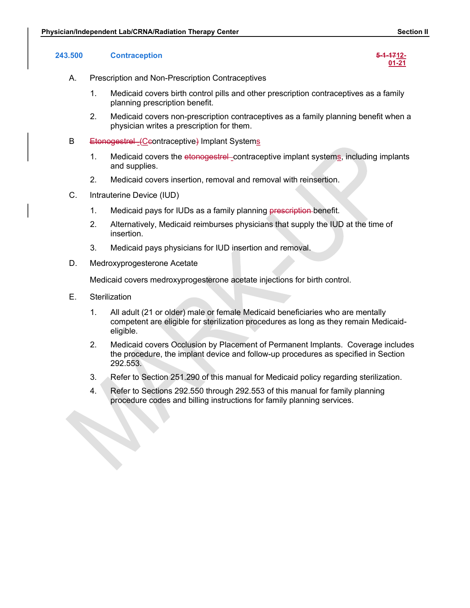01-21

- A. Prescription and Non-Prescription Contraceptives
- Sician/Independent Lab/CRNA/Radiation Therapy Center<br>243.500 Contraception **5-1-1712-**<br>243.500 Contraception<br>243.500 Contraception<br>5-1-1712-<br><u>01-21</u><br>21. Prescription and Non-Prescription Contraceptives<br>1. Medicaid covers b 1. Medicaid covers birth control pills and other prescription contraceptives as a family planning prescription benefit.
	- 2. Medicaid covers non-prescription contraceptives as a family planning benefit when a physician writes a prescription for them. **1.** Medicaid covers the etonogestrel contraceptives<br>
	1. Medicaid covers birth contraceptives<br>
	1. Medicaid covers the contraceptives<br>
	1. Medicaid covers the etonogestrel benefit.<br>
	2. Medicaid covers non-prescription contra **Example 1.4 Medical down The rapy Center**<br>
	2. Medicaid covers birth control pills and other prescription contraceptives as a family<br>
	2. Medicaid covers birth control pills and other prescription contraceptives as a family
	- B Etonogestrel (Ceontraceptive) Implant Systems
		- and supplies.
		-
	- C. Intrauterine Device (IUD)
		- 1. Medicaid pays for IUDs as a family planning prescription-benefit.
		- 2. Alternatively, Medicaid reimburses physicians that supply the IUD at the time of insertion.
		- 3. Medicaid pays physicians for IUD insertion and removal.
	- D. Medroxyprogesterone Acetate

Medicaid covers medroxyprogesterone acetate injections for birth control.

- E. Sterilization
	- 1. All adult (21 or older) male or female Medicaid beneficiaries who are mentally competent are eligible for sterilization procedures as long as they remain Medicaideligible.
	- 2. Medicaid covers Occlusion by Placement of Permanent Implants. Coverage includes the procedure, the implant device and follow-up procedures as specified in Section 292.553.
	- 3. Refer to Section 251.290 of this manual for Medicaid policy regarding sterilization.
	- 4. Refer to Sections 292.550 through 292.553 of this manual for family planning procedure codes and billing instructions for family planning services.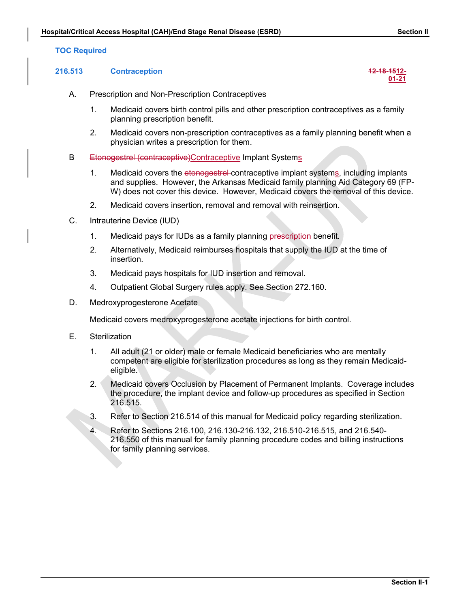## 216.513 Contraception 12-18-1512-





- A. Prescription and Non-Prescription Contraceptives
	- 1. Medicaid covers birth control pills and other prescription contraceptives as a family planning prescription benefit.
	- 2. Medicaid covers non-prescription contraceptives as a family planning benefit when a physician writes a prescription for them.
- B Etonogestrel (contraceptive) Contraceptive Implant Systems
- 1. Access Hospital (CAH)/End Stage Renal Disease (ESRD)<br>
1. Medicaid covers tirth control Contraceptives<br>
1. Medicaid covers birth control pills and other prescription contraceptives as a family<br>
1. Medicaid covers birth c and supplies. However, the Arkansas Medicaid family planning Aid Category 69 (FP-W) does not cover this device. However, Medicaid covers the removal of this device. **Example 12. Medicaid covers in the endomination of the stage stand of the stage (ESRD)**<br>
2. Prescription and Non-Prescription Contraceptives<br>
2. Medicaid covers birth control pills and other prescription contraceptives as
	-
- C. Intrauterine Device (IUD)
	- 1. Medicaid pays for IUDs as a family planning prescription-benefit.
	- 2. Alternatively, Medicaid reimburses hospitals that supply the IUD at the time of insertion.
	- 3. Medicaid pays hospitals for IUD insertion and removal.
	- 4. Outpatient Global Surgery rules apply. See Section 272.160.
- D. Medroxyprogesterone Acetate

Medicaid covers medroxyprogesterone acetate injections for birth control.

- E. Sterilization
	- 1. All adult (21 or older) male or female Medicaid beneficiaries who are mentally competent are eligible for sterilization procedures as long as they remain Medicaideligible.
	- 2. Medicaid covers Occlusion by Placement of Permanent Implants. Coverage includes the procedure, the implant device and follow-up procedures as specified in Section 216.515.
	- 3. Refer to Section 216.514 of this manual for Medicaid policy regarding sterilization.
	- 4. Refer to Sections 216.100, 216.130-216.132, 216.510-216.515, and 216.540- 216.550 of this manual for family planning procedure codes and billing instructions for family planning services.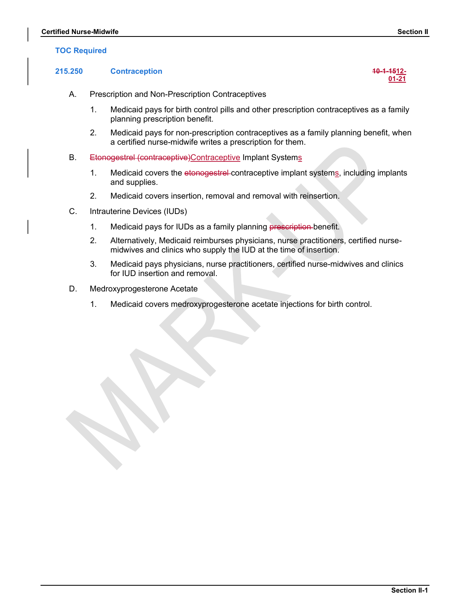## TOC Required

# Certified Nurse-Midwife<br>
TOC Required<br>
215.250 Contraception<br>
215.250 Contraception 215.250 Contraception 10-1-1512-

## **01-21 Discriming the State of Street Street Street Street Street Street Street Street Street Street Street Street Street Street Street Street Street Street Street Street Street Street Street Street Street Street Street**

- A. Prescription and Non-Prescription Contraceptives
- 1. Medicaid pays for birth control pills and other prescription contraceptives as a family planning prescription benefit. <table>\n<tbody>\n<tr>\n<th>•-Midwife</th>\n<th>Section II</th>\n</tr>\n<tr>\n<td>1.</td>\n<td>Contraction</td>\n<td>40-4-4512-21</td>\n</tr>\n<tr>\n<td>1.</td>\n<td>President days for birth control pills and other prescription contracteptives as a family planning prescription benefit.</td>\n</tr>\n<tr>\n<td>1.</td>\n<td>Medical pays for non-prescription contractpeptives as a family planning prescription benefit.</td>\n</tr>\n<tr>\n<td>2.</td>\n<td>Medical pays for non-prescription contractpepties as a family planning benefit, when a certified nurse-midwife writes a prescription for them.</td>\n</tr>\n<tr>\n<td>4.</td>\n<td>Redicial covers the etenegesetrel-2. Midwife<br>
2. Contraception<br>
2. Contraception Contraceptives<br>
2. Medicaid pays for birth control pills and other prescription contraceptives as a family<br>
2. Medicaid pays for birth control pills and other prescription co
	- 2. Medicaid pays for non-prescription contraceptives as a family planning benefit, when a certified nurse-midwife writes a prescription for them.
- B. Etonogestrel (contraceptive)Contraceptive Implant Systems
	- and supplies.
	-
- C. Intrauterine Devices (IUDs)
	- 1. Medicaid pays for IUDs as a family planning prescription benefit.
	- 2. Alternatively, Medicaid reimburses physicians, nurse practitioners, certified nursemidwives and clinics who supply the IUD at the time of insertion.
	- 3. Medicaid pays physicians, nurse practitioners, certified nurse-midwives and clinics for IUD insertion and removal.
- D. Medroxyprogesterone Acetate
	- 1. Medicaid covers medroxyprogesterone acetate injections for birth control.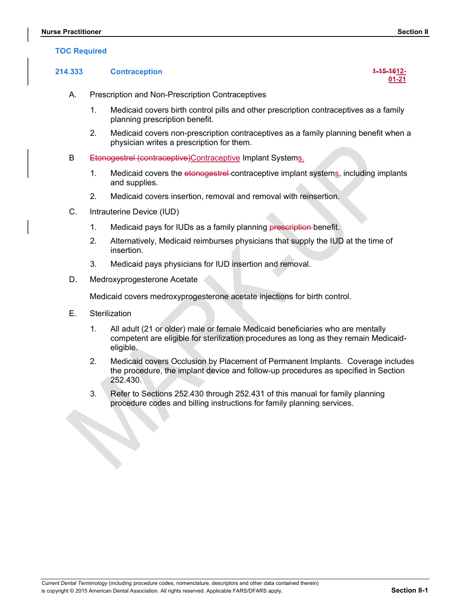## TOC Required

# Experiment Section II<br>
TOC Required<br>
214.333 Contraception<br>
214.333 Contraception 214.333 Contraception 1-15-1612-

- 
- Factitioner<br>
2. Required<br>
2. Prescription and Non-Prescription Contraceptives<br>
2. Medicaid covers birth control pills and other prescription contraceptives as a fa<br>
2. Medicaid covers non-prescription contraceptives as a f 1. Medicaid covers birth control pills and other prescription contraceptives as a family planning prescription benefit. Section II<br>
1. Medicaid covers bitth contraceptives<br>
1. Medicaid covers bitth control pills and other prescription contraceptives as a family<br>
1. Medicaid covers bitth control pills and other prescription contraceptives as
	- 2. Medicaid covers non-prescription contraceptives as a family planning benefit when a physician writes a prescription for them.
- B Etonogestrel (contraceptive)Contraceptive Implant Systems.
	- 1. Medicaid covers the etonogestrel-contraceptive implant systems, including implants and supplies.
	- 2. Medicaid covers insertion, removal and removal with reinsertion.
- C. Intrauterine Device (IUD)
	-
	- 2. Alternatively, Medicaid reimburses physicians that supply the IUD at the time of insertion.
	- 3. Medicaid pays physicians for IUD insertion and removal.

Current Dental Terminology (including procedure codes, nomenclature, descriptors and other data contained therein)

D. Medroxyprogesterone Acetate

Medicaid covers medroxyprogesterone acetate injections for birth control.

- E. Sterilization
	- 1. All adult (21 or older) male or female Medicaid beneficiaries who are mentally competent are eligible for sterilization procedures as long as they remain Medicaideligible.
- 2. Medicaid covers Occlusion by Placement of Permanent Implants. Coverage includes the procedure, the implant device and follow-up procedures as specified in Section 252.430. 2. Medicaid covers insertion, removal and removal with reinsertion.<br>
Intrauterine Device (IUD)<br>
1. Medicaid pays for IUDs as a family planning <del>prescription b</del>enefit.<br>
2. Alternatively, Medicaid reimburses physicians that
	- procedure codes and billing instructions for family planning services.

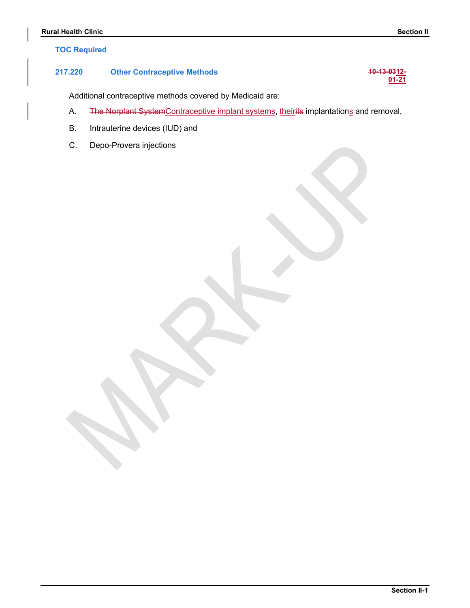## TOC Required

# Rural Health Clinic<br>
TOC Required<br>
217.220 Other Contraceptive Methods<br>
217.220 Other Contraceptive Methods<br>
217.220 Other Contraceptive Methods 217.220 Other Contraceptive Methods 10-13-0312-

Additional contraceptive methods covered by Medicaid are:

- A. The Norplant SystemContraceptive implant systems, theirits implantations and removal, **Example 120**<br> **B. Internal Confidence**<br> **B. Additional contraceptive methods covered by Medicaid are:**<br> **A. The Norplant SystemContraceptive implant systems, theirits implantations**<br> **B. Intrauterine devices (IUD) and**<br> **Example 12**<br>
220 Other Contraceptive Methods 40-13-0:<br>
Additional contraceptive methods covered by Medicaid are:<br>
A. The Norplant System Contraceptive implant systems, theirits implantations and remov<br>
B. Intrauterine dev
- 
- 

 $01 - 21$